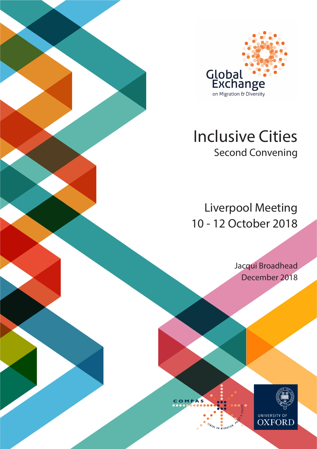

# Inclusive Cities Second Convening

Liverpool Meeting 10 - 12 October 2018

> Jacqui Broadhead December 2018



COMPAS

PE ON MIGRATION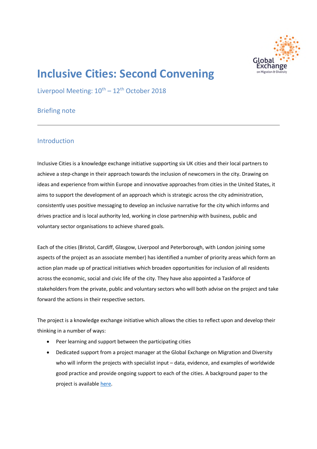

## **Inclusive Cities: Second Convening**

Liverpool Meeting:  $10^{th} - 12^{th}$  October 2018

## Briefing note

## Introduction

Inclusive Cities is a knowledge exchange initiative supporting six UK cities and their local partners to achieve a step-change in their approach towards the inclusion of newcomers in the city. Drawing on ideas and experience from within Europe and innovative approaches from cities in the United States, it aims to support the development of an approach which is strategic across the city administration, consistently uses positive messaging to develop an inclusive narrative for the city which informs and drives practice and is local authority led, working in close partnership with business, public and voluntary sector organisations to achieve shared goals.

Each of the cities (Bristol, Cardiff, Glasgow, Liverpool and Peterborough, with London joining some aspects of the project as an associate member) has identified a number of priority areas which form an action plan made up of practical initiatives which broaden opportunities for inclusion of all residents across the economic, social and civic life of the city. They have also appointed a Taskforce of stakeholders from the private, public and voluntary sectors who will both advise on the project and take forward the actions in their respective sectors.

The project is a knowledge exchange initiative which allows the cities to reflect upon and develop their thinking in a number of ways:

- Peer learning and support between the participating cities
- Dedicated support from a project manager at the Global Exchange on Migration and Diversity who will inform the projects with specialist input – data, evidence, and examples of worldwide good practice and provide ongoing support to each of the cities. A background paper to the project is available here.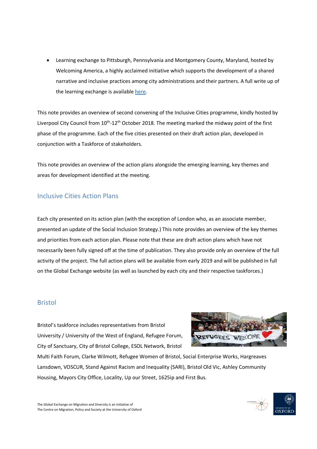• Learning exchange to Pittsburgh, Pennsylvania and Montgomery County, Maryland, hosted by Welcoming America, a highly acclaimed initiative which supports the development of a shared narrative and inclusive practices among city administrations and their partners. A full write up of the learning exchange is available here.

This note provides an overview of second convening of the Inclusive Cities programme, kindly hosted by Liverpool City Council from 10<sup>th</sup>-12<sup>th</sup> October 2018. The meeting marked the midway point of the first phase of the programme. Each of the five cities presented on their draft action plan, developed in conjunction with a Taskforce of stakeholders.

This note provides an overview of the action plans alongside the emerging learning, key themes and areas for development identified at the meeting.

## Inclusive Cities Action Plans

Each city presented on its action plan (with the exception of London who, as an associate member, presented an update of the Social Inclusion Strategy.) This note provides an overview of the key themes and priorities from each action plan. Please note that these are draft action plans which have not necessarily been fully signed off at the time of publication. They also provide only an overview of the full activity of the project. The full action plans will be available from early 2019 and will be published in full on the Global Exchange website (as well as launched by each city and their respective taskforces.)

#### Bristol

Bristol's taskforce includes representatives from Bristol University / University of the West of England, Refugee Forum, City of Sanctuary, City of Bristol College, ESOL Network, Bristol



Multi Faith Forum, Clarke Wilmott, Refugee Women of Bristol, Social Enterprise Works, Hargreaves Lansdown, VOSCUR, Stand Against Racism and Inequality (SARI), Bristol Old Vic, Ashley Community Housing, Mayors City Office, Locality, Up our Street, 1625ip and First Bus.

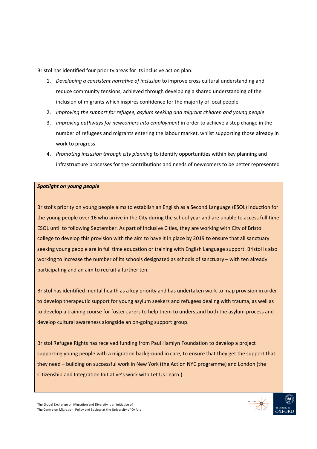Bristol has identified four priority areas for its inclusive action plan:

- 1. *Developing a consistent narrative of inclusion* to improve cross cultural understanding and reduce community tensions, achieved through developing a shared understanding of the inclusion of migrants which inspires confidence for the majority of local people
- 2. *Improving the support for refugee, asylum seeking and migrant children and young people*
- 3. *Improving pathways for newcomers into employment* in order to achieve a step change in the number of refugees and migrants entering the labour market, whilst supporting those already in work to progress
- 4. *Promoting inclusion through city planning* to identify opportunities within key planning and infrastructure processes for the contributions and needs of newcomers to be better represented

#### *Spotlight on young people*

Bristol's priority on young people aims to establish an English as a Second Language (ESOL) induction for the young people over 16 who arrive in the City during the school year and are unable to access full time ESOL until to following September. As part of Inclusive Cities, they are working with City of Bristol college to develop this provision with the aim to have it in place by 2019 to ensure that all sanctuary seeking young people are in full time education or training with English Language support. Bristol is also working to increase the number of its schools designated as schools of sanctuary – with ten already participating and an aim to recruit a further ten.

Bristol has identified mental health as a key priority and has undertaken work to map provision in order to develop therapeutic support for young asylum seekers and refugees dealing with trauma, as well as to develop a training course for foster carers to help them to understand both the asylum process and develop cultural awareness alongside an on-going support group.

Bristol Refugee Rights has received funding from Paul Hamlyn Foundation to develop a project supporting young people with a migration background in care, to ensure that they get the support that they need – building on successful work in New York (the Action NYC programme) and London (the Citizenship and Integration Initiative's work with Let Us Learn.)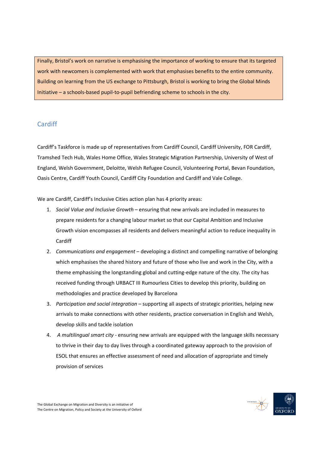Finally, Bristol's work on narrative is emphasising the importance of working to ensure that its targeted work with newcomers is complemented with work that emphasises benefits to the entire community. Building on learning from the US exchange to Pittsburgh, Bristol is working to bring the Global Minds Initiative – a schools-based pupil-to-pupil befriending scheme to schools in the city.

## Cardiff

Cardiff's Taskforce is made up of representatives from Cardiff Council, Cardiff University, FOR Cardiff, Tramshed Tech Hub, Wales Home Office, Wales Strategic Migration Partnership, University of West of England, Welsh Government, Deloitte, Welsh Refugee Council, Volunteering Portal, Bevan Foundation, Oasis Centre, Cardiff Youth Council, Cardiff City Foundation and Cardiff and Vale College.

We are Cardiff, Cardiff's Inclusive Cities action plan has 4 priority areas:

- 1. *Social Value and Inclusive Growth* ensuring that new arrivals are included in measures to prepare residents for a changing labour market so that our Capital Ambition and Inclusive Growth vision encompasses all residents and delivers meaningful action to reduce inequality in Cardiff
- 2. *Communications and engagement*  developing a distinct and compelling narrative of belonging which emphasises the shared history and future of those who live and work in the City, with a theme emphasising the longstanding global and cutting-edge nature of the city. The city has received funding through URBACT III Rumourless Cities to develop this priority, building on methodologies and practice developed by Barcelona
- 3. *Participation and social integration*  supporting all aspects of strategic priorities, helping new arrivals to make connections with other residents, practice conversation in English and Welsh, develop skills and tackle isolation
- 4. *A multilingual smart city* ensuring new arrivals are equipped with the language skills necessary to thrive in their day to day lives through a coordinated gateway approach to the provision of ESOL that ensures an effective assessment of need and allocation of appropriate and timely provision of services

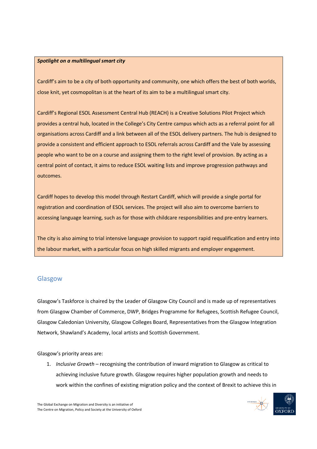#### *Spotlight on a multilingual smart city*

Cardiff's aim to be a city of both opportunity and community, one which offers the best of both worlds, close knit, yet cosmopolitan is at the heart of its aim to be a multilingual smart city.

Cardiff's Regional ESOL Assessment Central Hub (REACH) is a Creative Solutions Pilot Project which provides a central hub, located in the College's City Centre campus which acts as a referral point for all organisations across Cardiff and a link between all of the ESOL delivery partners. The hub is designed to provide a consistent and efficient approach to ESOL referrals across Cardiff and the Vale by assessing people who want to be on a course and assigning them to the right level of provision. By acting as a central point of contact, it aims to reduce ESOL waiting lists and improve progression pathways and outcomes.

Cardiff hopes to develop this model through Restart Cardiff, which will provide a single portal for registration and coordination of ESOL services. The project will also aim to overcome barriers to accessing language learning, such as for those with childcare responsibilities and pre-entry learners.

The city is also aiming to trial intensive language provision to support rapid requalification and entry into the labour market, with a particular focus on high skilled migrants and employer engagement.

## Glasgow

Glasgow's Taskforce is chaired by the Leader of Glasgow City Council and is made up of representatives from Glasgow Chamber of Commerce, DWP, Bridges Programme for Refugees, Scottish Refugee Council, Glasgow Caledonian University, Glasgow Colleges Board, Representatives from the Glasgow Integration Network, Shawland's Academy, local artists and Scottish Government.

Glasgow's priority areas are:

1. *Inclusive Growth* – recognising the contribution of inward migration to Glasgow as critical to achieving inclusive future growth. Glasgow requires higher population growth and needs to work within the confines of existing migration policy and the context of Brexit to achieve this in

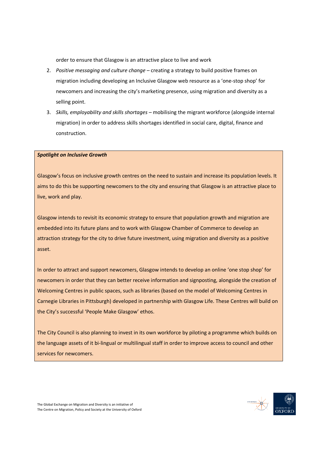order to ensure that Glasgow is an attractive place to live and work

- 2. *Positive messaging and culture change* creating a strategy to build positive frames on migration including developing an Inclusive Glasgow web resource as a 'one-stop shop' for newcomers and increasing the city's marketing presence, using migration and diversity as a selling point.
- 3. *Skills, employability and skills shortages* mobilising the migrant workforce (alongside internal migration) in order to address skills shortages identified in social care, digital, finance and construction.

#### *Spotlight on Inclusive Growth*

Glasgow's focus on inclusive growth centres on the need to sustain and increase its population levels. It aims to do this be supporting newcomers to the city and ensuring that Glasgow is an attractive place to live, work and play.

Glasgow intends to revisit its economic strategy to ensure that population growth and migration are embedded into its future plans and to work with Glasgow Chamber of Commerce to develop an attraction strategy for the city to drive future investment, using migration and diversity as a positive asset.

In order to attract and support newcomers, Glasgow intends to develop an online 'one stop shop' for newcomers in order that they can better receive information and signposting, alongside the creation of Welcoming Centres in public spaces, such as libraries (based on the model of Welcoming Centres in Carnegie Libraries in Pittsburgh) developed in partnership with Glasgow Life. These Centres will build on the City's successful 'People Make Glasgow' ethos.

The City Council is also planning to invest in its own workforce by piloting a programme which builds on the language assets of it bi-lingual or multilingual staff in order to improve access to council and other services for newcomers.

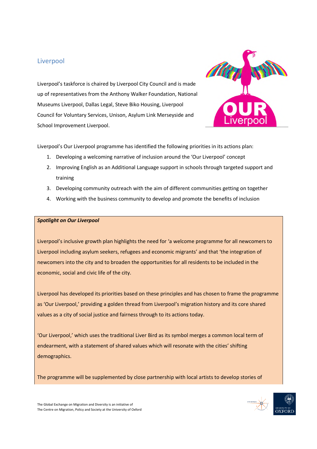## Liverpool

Liverpool's taskforce is chaired by Liverpool City Council and is made up of representatives from the Anthony Walker Foundation, National Museums Liverpool, Dallas Legal, Steve Biko Housing, Liverpool Council for Voluntary Services, Unison, Asylum Link Merseyside and School Improvement Liverpool.



Liverpool's Our Liverpool programme has identified the following priorities in its actions plan:

- 1. Developing a welcoming narrative of inclusion around the 'Our Liverpool' concept
- 2. Improving English as an Additional Language support in schools through targeted support and training
- 3. Developing community outreach with the aim of different communities getting on together
- 4. Working with the business community to develop and promote the benefits of inclusion

#### *Spotlight on Our Liverpool*

Liverpool's inclusive growth plan highlights the need for 'a welcome programme for all newcomers to Liverpool including asylum seekers, refugees and economic migrants' and that 'the integration of newcomers into the city and to broaden the opportunities for all residents to be included in the economic, social and civic life of the city.

Liverpool has developed its priorities based on these principles and has chosen to frame the programme as 'Our Liverpool,' providing a golden thread from Liverpool's migration history and its core shared values as a city of social justice and fairness through to its actions today.

'Our Liverpool,' which uses the traditional Liver Bird as its symbol merges a common local term of endearment, with a statement of shared values which will resonate with the cities' shifting demographics.

The programme will be supplemented by close partnership with local artists to develop stories of

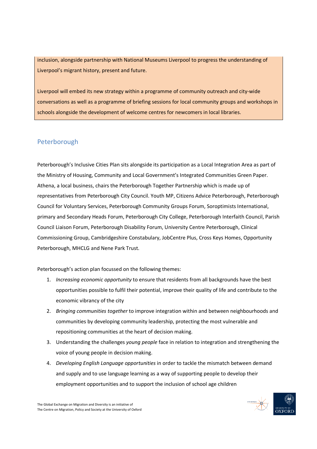inclusion, alongside partnership with National Museums Liverpool to progress the understanding of Liverpool's migrant history, present and future.

Liverpool will embed its new strategy within a programme of community outreach and city-wide conversations as well as a programme of briefing sessions for local community groups and workshops in schools alongside the development of welcome centres for newcomers in local libraries.

## Peterborough

Peterborough's Inclusive Cities Plan sits alongside its participation as a Local Integration Area as part of the Ministry of Housing, Community and Local Government's Integrated Communities Green Paper. Athena, a local business, chairs the Peterborough Together Partnership which is made up of representatives from Peterborough City Council. Youth MP, Citizens Advice Peterborough, Peterborough Council for Voluntary Services, Peterborough Community Groups Forum, Soroptimists International, primary and Secondary Heads Forum, Peterborough City College, Peterborough Interfaith Council, Parish Council Liaison Forum, Peterborough Disability Forum, University Centre Peterborough, Clinical Commissioning Group, Cambridgeshire Constabulary, JobCentre Plus, Cross Keys Homes, Opportunity Peterborough, MHCLG and Nene Park Trust.

Peterborough's action plan focussed on the following themes:

- 1. *Increasing economic opportunity* to ensure that residents from all backgrounds have the best opportunities possible to fulfil their potential, improve their quality of life and contribute to the economic vibrancy of the city
- 2. *Bringing communities together* to improve integration within and between neighbourhoods and communities by developing community leadership, protecting the most vulnerable and repositioning communities at the heart of decision making.
- 3. Understanding the challenges *young people* face in relation to integration and strengthening the voice of young people in decision making.
- 4. *Developing English Language opportunities* in order to tackle the mismatch between demand and supply and to use language learning as a way of supporting people to develop their employment opportunities and to support the inclusion of school age children

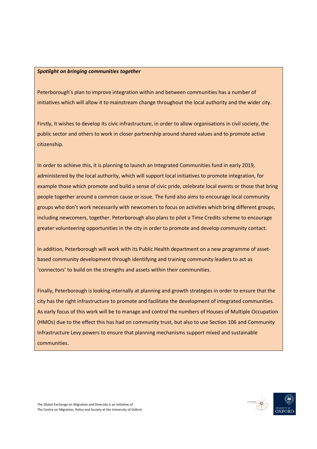#### *Spotlight on bringing communities together*

Peterborough's plan to improve integration within and between communities has a number of initiatives which will allow it to mainstream change throughout the local authority and the wider city.

Firstly, it wishes to develop its civic infrastructure, in order to allow organisations in civil society, the public sector and others to work in closer partnership around shared values and to promote active citizenship.

In order to achieve this, it is planning to launch an Integrated Communities fund in early 2019, administered by the local authority, which will support local initiatives to promote integration, for example those which promote and build a sense of civic pride, celebrate local events or those that bring people together around a common cause or issue. The fund also aims to encourage local community groups who don't work necessarily with newcomers to focus on activities which bring different groups, including newcomers, together. Peterborough also plans to pilot a Time Credits scheme to encourage greater volunteering opportunities in the city in order to promote and develop community contact.

In addition, Peterborough will work with its Public Health department on a new programme of assetbased community development through identifying and training community leaders to act as 'connectors' to build on the strengths and assets within their communities.

Finally, Peterborough is looking internally at planning and growth strategies in order to ensure that the city has the right infrastructure to promote and facilitate the development of integrated communities. As early focus of this work will be to manage and control the numbers of Houses of Multiple Occupation (HMOs) due to the effect this has had on community trust, but also to use Section 106 and Community Infrastructure Levy powers to ensure that planning mechanisms support mixed and sustainable communities.

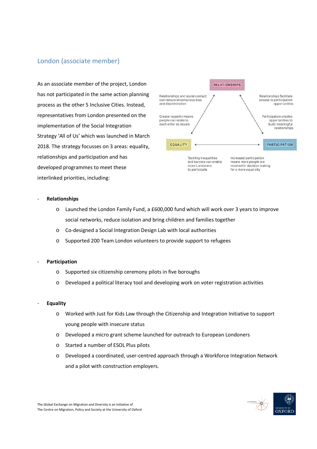## London (associate member)

As an associate member of the project, London has not participated in the same action planning process as the other 5 Inclusive Cities. Instead, representatives from London presented on the implementation of the Social Integration Strategy 'All of Us' which was launched in March 2018. The strategy focusses on 3 areas: equality, relationships and participation and has developed programmes to meet these interlinked priorities, including:



#### - **Relationships**

- o Launched the London Family Fund, a £600,000 fund which will work over 3 years to improve social networks, reduce isolation and bring children and families together
- o Co-designed a Social Integration Design Lab with local authorities
- o Supported 200 Team London volunteers to provide support to refugees
- **Participation**
	- o Supported six citizenship ceremony pilots in five boroughs
	- o Developed a political literacy tool and developing work on voter registration activities

#### - **Equality**

- o Worked with Just for Kids Law through the Citizenship and Integration Initiative to support young people with insecure status
- o Developed a micro grant scheme launched for outreach to European Londoners
- o Started a number of ESOL Plus pilots
- o Developed a coordinated, user-centred approach through a Workforce Integration Network and a pilot with construction employers.

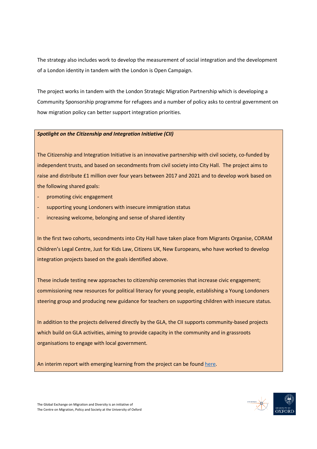The strategy also includes work to develop the measurement of social integration and the development of a London identity in tandem with the London is Open Campaign.

The project works in tandem with the London Strategic Migration Partnership which is developing a Community Sponsorship programme for refugees and a number of policy asks to central government on how migration policy can better support integration priorities.

#### *Spotlight on the Citizenship and Integration Initiative (CII)*

The Citizenship and Integration Initiative is an innovative partnership with civil society, co-funded by independent trusts, and based on secondments from civil society into City Hall. The project aims to raise and distribute £1 million over four years between 2017 and 2021 and to develop work based on the following shared goals:

- promoting civic engagement
- supporting young Londoners with insecure immigration status
- increasing welcome, belonging and sense of shared identity

In the first two cohorts, secondments into City Hall have taken place from Migrants Organise, CORAM Children's Legal Centre, Just for Kids Law, Citizens UK, New Europeans, who have worked to develop integration projects based on the goals identified above.

These include testing new approaches to citizenship ceremonies that increase civic engagement; commissioning new resources for political literacy for young people, establishing a Young Londoners steering group and producing new guidance for teachers on supporting children with insecure status.

In addition to the projects delivered directly by the GLA, the CII supports community-based projects which build on GLA activities, aiming to provide capacity in the community and in grassroots organisations to engage with local government.

An interim report with emerging learning from the project can be found here.

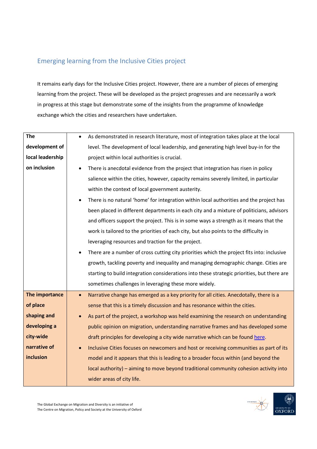## Emerging learning from the Inclusive Cities project

It remains early days for the Inclusive Cities project. However, there are a number of pieces of emerging learning from the project. These will be developed as the project progresses and are necessarily a work in progress at this stage but demonstrate some of the insights from the programme of knowledge exchange which the cities and researchers have undertaken.

| <b>The</b>       | As demonstrated in research literature, most of integration takes place at the local<br>$\bullet$    |
|------------------|------------------------------------------------------------------------------------------------------|
| development of   | level. The development of local leadership, and generating high level buy-in for the                 |
| local leadership | project within local authorities is crucial.                                                         |
| on inclusion     | There is anecdotal evidence from the project that integration has risen in policy                    |
|                  | salience within the cities, however, capacity remains severely limited, in particular                |
|                  | within the context of local government austerity.                                                    |
|                  | There is no natural 'home' for integration within local authorities and the project has<br>$\bullet$ |
|                  | been placed in different departments in each city and a mixture of politicians, advisors             |
|                  | and officers support the project. This is in some ways a strength as it means that the               |
|                  | work is tailored to the priorities of each city, but also points to the difficulty in                |
|                  | leveraging resources and traction for the project.                                                   |
|                  | There are a number of cross cutting city priorities which the project fits into: inclusive           |
|                  | growth, tackling poverty and inequality and managing demographic change. Cities are                  |
|                  | starting to build integration considerations into these strategic priorities, but there are          |
|                  | sometimes challenges in leveraging these more widely.                                                |
| The importance   | Narrative change has emerged as a key priority for all cities. Anecdotally, there is a<br>$\bullet$  |
| of place         | sense that this is a timely discussion and has resonance within the cities.                          |
| shaping and      | As part of the project, a workshop was held examining the research on understanding                  |
| developing a     | public opinion on migration, understanding narrative frames and has developed some                   |
| city-wide        | draft principles for developing a city wide narrative which can be found here.                       |
| narrative of     | Inclusive Cities focuses on newcomers and host or receiving communities as part of its               |
| inclusion        | model and it appears that this is leading to a broader focus within (and beyond the                  |
|                  | local authority) - aiming to move beyond traditional community cohesion activity into                |
|                  | wider areas of city life.                                                                            |
|                  |                                                                                                      |

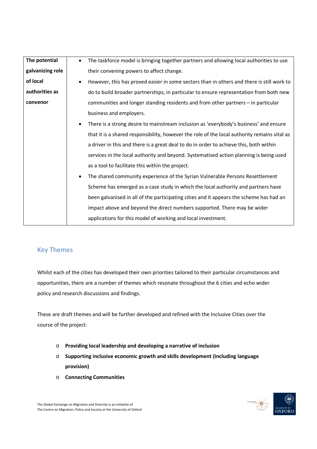| The potential    | The taskforce model is bringing together partners and allowing local authorities to use<br>$\bullet$                                                                                                                        |  |
|------------------|-----------------------------------------------------------------------------------------------------------------------------------------------------------------------------------------------------------------------------|--|
| galvanizing role | their convening powers to affect change.                                                                                                                                                                                    |  |
| of local         | However, this has proved easier in some sectors than in others and there is still work to                                                                                                                                   |  |
| authorities as   | do to build broader partnerships, in particular to ensure representation from both new                                                                                                                                      |  |
| convenor         | communities and longer standing residents and from other partners - in particular                                                                                                                                           |  |
|                  | business and employers.                                                                                                                                                                                                     |  |
|                  | There is a strong desire to mainstream inclusion as 'everybody's business' and ensure                                                                                                                                       |  |
|                  | that it is a shared responsibility, however the role of the local authority remains vital as                                                                                                                                |  |
|                  | a driver in this and there is a great deal to do in order to achieve this, both within                                                                                                                                      |  |
|                  | services in the local authority and beyond. Systematised action planning is being used<br>as a tool to facilitate this within the project.<br>The shared community experience of the Syrian Vulnerable Persons Resettlement |  |
|                  |                                                                                                                                                                                                                             |  |
|                  |                                                                                                                                                                                                                             |  |
|                  | Scheme has emerged as a case study in which the local authority and partners have                                                                                                                                           |  |
|                  | been galvanised in all of the participating cities and it appears the scheme has had an                                                                                                                                     |  |
|                  | impact above and beyond the direct numbers supported. There may be wider                                                                                                                                                    |  |
|                  | applications for this model of working and local investment.                                                                                                                                                                |  |

## Key Themes

Whilst each of the cities has developed their own priorities tailored to their particular circumstances and opportunities, there are a number of themes which resonate throughout the 6 cities and echo wider policy and research discussions and findings.

These are draft themes and will be further developed and refined with the Inclusive Cities over the course of the project:

- o **Providing local leadership and developing a narrative of inclusion**
- o **Supporting inclusive economic growth and skills development (including language provision)**
- o **Connecting Communities**

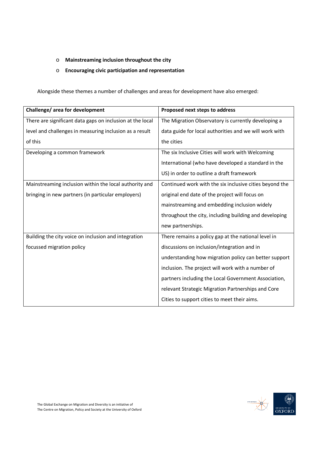### o **Mainstreaming inclusion throughout the city**

#### o **Encouraging civic participation and representation**

Alongside these themes a number of challenges and areas for development have also emerged:

| Challenge/ area for development                           | Proposed next steps to address                          |
|-----------------------------------------------------------|---------------------------------------------------------|
| There are significant data gaps on inclusion at the local | The Migration Observatory is currently developing a     |
| level and challenges in measuring inclusion as a result   | data guide for local authorities and we will work with  |
| of this                                                   | the cities                                              |
| Developing a common framework                             | The six Inclusive Cities will work with Welcoming       |
|                                                           | International (who have developed a standard in the     |
|                                                           | US) in order to outline a draft framework               |
| Mainstreaming inclusion within the local authority and    | Continued work with the six inclusive cities beyond the |
| bringing in new partners (in particular employers)        | original end date of the project will focus on          |
|                                                           | mainstreaming and embedding inclusion widely            |
|                                                           | throughout the city, including building and developing  |
|                                                           | new partnerships.                                       |
| Building the city voice on inclusion and integration      | There remains a policy gap at the national level in     |
| focussed migration policy                                 | discussions on inclusion/integration and in             |
|                                                           | understanding how migration policy can better support   |
|                                                           | inclusion. The project will work with a number of       |
|                                                           | partners including the Local Government Association,    |
|                                                           | relevant Strategic Migration Partnerships and Core      |
|                                                           | Cities to support cities to meet their aims.            |